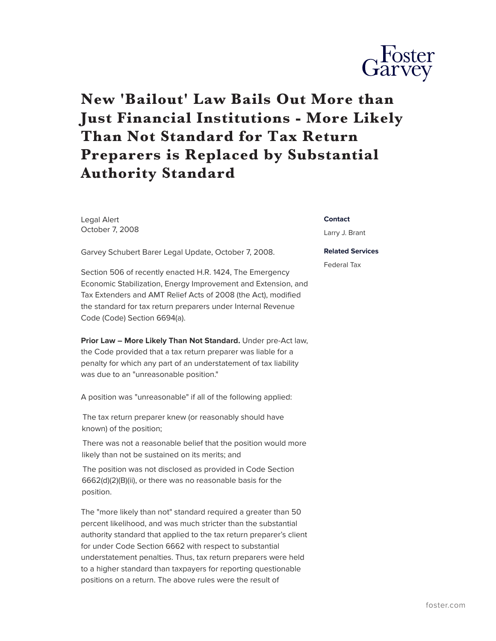

## **New 'Bailout' Law Bails Out More than Just Financial Institutions - More Likely Than Not Standard for Tax Return Preparers is Replaced by Substantial Authority Standard**

Legal Alert October 7, 2008

Garvey Schubert Barer Legal Update, October 7, 2008.

Section 506 of recently enacted H.R. 1424, The Emergency Economic Stabilization, Energy Improvement and Extension, and Tax Extenders and AMT Relief Acts of 2008 (the Act), modified the standard for tax return preparers under Internal Revenue Code (Code) Section 6694(a).

**Prior Law – More Likely Than Not Standard.** Under pre-Act law, the Code provided that a tax return preparer was liable for a penalty for which any part of an understatement of tax liability was due to an "unreasonable position."

A position was "unreasonable" if all of the following applied:

The tax return preparer knew (or reasonably should have known) of the position;

There was not a reasonable belief that the position would more likely than not be sustained on its merits; and

The position was not disclosed as provided in Code Section 6662(d)(2)(B)(ii), or there was no reasonable basis for the position.

The "more likely than not" standard required a greater than 50 percent likelihood, and was much stricter than the substantial authority standard that applied to the tax return preparer's client for under Code Section 6662 with respect to substantial understatement penalties. Thus, tax return preparers were held to a higher standard than taxpayers for reporting questionable positions on a return. The above rules were the result of

## **Contact**

Larry J. Brant

## **Related Services**

Federal Tax